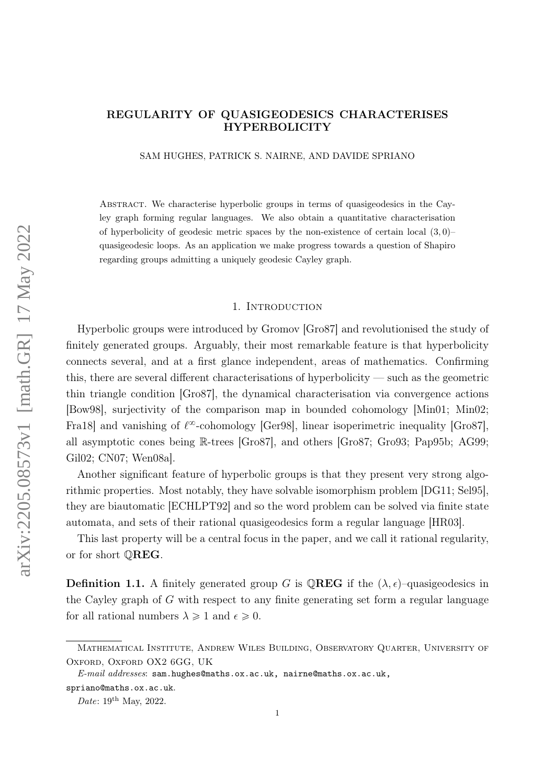# REGULARITY OF QUASIGEODESICS CHARACTERISES HYPERBOLICITY

SAM HUGHES, PATRICK S. NAIRNE, AND DAVIDE SPRIANO

Abstract. We characterise hyperbolic groups in terms of quasigeodesics in the Cayley graph forming regular languages. We also obtain a quantitative characterisation of hyperbolicity of geodesic metric spaces by the non-existence of certain local  $(3, 0)$ – quasigeodesic loops. As an application we make progress towards a question of Shapiro regarding groups admitting a uniquely geodesic Cayley graph.

#### 1. INTRODUCTION

Hyperbolic groups were introduced by Gromov [\[Gro87\]](#page-10-0) and revolutionised the study of finitely generated groups. Arguably, their most remarkable feature is that hyperbolicity connects several, and at a first glance independent, areas of mathematics. Confirming this, there are several different characterisations of hyperbolicity — such as the geometric thin triangle condition [\[Gro87\]](#page-10-0), the dynamical characterisation via convergence actions [\[Bow98\]](#page-10-1), surjectivity of the comparison map in bounded cohomology [\[Min01;](#page-11-0) [Min02;](#page-11-1) Fra18 and vanishing of  $\ell^{\infty}$ -cohomology [\[Ger98\]](#page-10-3), linear isoperimetric inequality [\[Gro87\]](#page-10-0), all asymptotic cones being R-trees [\[Gro87\]](#page-10-0), and others [\[Gro87;](#page-10-0) [Gro93;](#page-10-4) [Pap95b;](#page-11-2) [AG99;](#page-9-0) [Gil02;](#page-10-5) [CN07;](#page-10-6) [Wen08a\]](#page-11-3).

Another significant feature of hyperbolic groups is that they present very strong algorithmic properties. Most notably, they have solvable isomorphism problem [\[DG11;](#page-10-7) [Sel95\]](#page-11-4), they are biautomatic [\[ECHLPT92\]](#page-10-8) and so the word problem can be solved via finite state automata, and sets of their rational quasigeodesics form a regular language [\[HR03\]](#page-11-5).

This last property will be a central focus in the paper, and we call it rational regularity, or for short QREG.

**Definition 1.1.** A finitely generated group G is QREG if the  $(\lambda, \epsilon)$ –quasigeodesics in the Cayley graph of G with respect to any finite generating set form a regular language for all rational numbers  $\lambda \geq 1$  and  $\epsilon \geq 0$ .

Mathematical Institute, Andrew Wiles Building, Observatory Quarter, University of OXFORD, OXFORD OX2 6GG, UK

E-mail addresses: sam.hughes@maths.ox.ac.uk, nairne@maths.ox.ac.uk,

spriano@maths.ox.ac.uk.

Date:  $19^{th}$  May, 2022.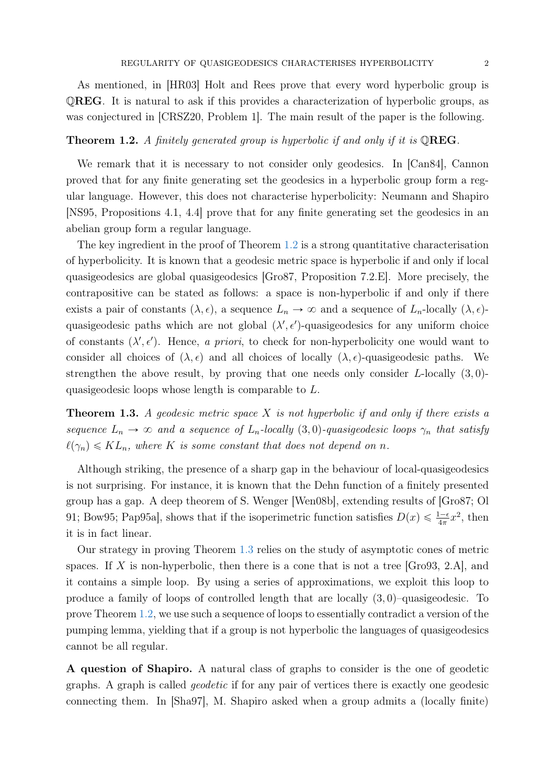As mentioned, in [\[HR03\]](#page-11-5) Holt and Rees prove that every word hyperbolic group is QREG. It is natural to ask if this provides a characterization of hyperbolic groups, as was conjectured in [\[CRSZ20,](#page-10-9) Problem 1]. The main result of the paper is the following.

## <span id="page-1-0"></span>**Theorem 1.2.** A finitely generated group is hyperbolic if and only if it is  $\mathbb{Q} \text{REG}$ .

We remark that it is necessary to not consider only geodesics. In [\[Can84\]](#page-10-10), Cannon proved that for any finite generating set the geodesics in a hyperbolic group form a regular language. However, this does not characterise hyperbolicity: Neumann and Shapiro [\[NS95,](#page-11-6) Propositions 4.1, 4.4] prove that for any finite generating set the geodesics in an abelian group form a regular language.

The key ingredient in the proof of Theorem [1.2](#page-1-0) is a strong quantitative characterisation of hyperbolicity. It is known that a geodesic metric space is hyperbolic if and only if local quasigeodesics are global quasigeodesics [\[Gro87,](#page-10-0) Proposition 7.2.E]. More precisely, the contrapositive can be stated as follows: a space is non-hyperbolic if and only if there exists a pair of constants  $(\lambda, \epsilon)$ , a sequence  $L_n \to \infty$  and a sequence of  $L_n$ -locally  $(\lambda, \epsilon)$ quasigeodesic paths which are not global  $(\lambda', \epsilon')$ -quasigeodesics for any uniform choice of constants  $(\lambda', \epsilon')$ . Hence, a priori, to check for non-hyperbolicity one would want to consider all choices of  $(\lambda, \epsilon)$  and all choices of locally  $(\lambda, \epsilon)$ -quasigeodesic paths. We strengthen the above result, by proving that one needs only consider L-locally  $(3, 0)$ quasigeodesic loops whose length is comparable to L.

<span id="page-1-1"></span>**Theorem 1.3.** A geodesic metric space  $X$  is not hyperbolic if and only if there exists a sequence  $L_n \to \infty$  and a sequence of  $L_n$ -locally  $(3, 0)$ -quasigeodesic loops  $\gamma_n$  that satisfy  $\ell(\gamma_n) \leqslant KL_n$ , where K is some constant that does not depend on n.

Although striking, the presence of a sharp gap in the behaviour of local-quasigeodesics is not surprising. For instance, it is known that the Dehn function of a finitely presented group has a gap. A deep theorem of S. Wenger [\[Wen08b\]](#page-11-7), extending results of [\[Gro87;](#page-10-0) [Ol](#page-11-8) [91;](#page-11-8) [Bow95;](#page-9-1) [Pap95a\]](#page-11-9), shows that if the isoperimetric function satisfies  $D(x) \leq \frac{1-\epsilon}{4\pi}x^2$ , then it is in fact linear.

Our strategy in proving Theorem [1.3](#page-1-1) relies on the study of asymptotic cones of metric spaces. If X is non-hyperbolic, then there is a cone that is not a tree [\[Gro93,](#page-10-4) 2.A], and it contains a simple loop. By using a series of approximations, we exploit this loop to produce a family of loops of controlled length that are locally  $(3, 0)$ –quasigeodesic. To prove Theorem [1.2,](#page-1-0) we use such a sequence of loops to essentially contradict a version of the pumping lemma, yielding that if a group is not hyperbolic the languages of quasigeodesics cannot be all regular.

A question of Shapiro. A natural class of graphs to consider is the one of geodetic graphs. A graph is called geodetic if for any pair of vertices there is exactly one geodesic connecting them. In [\[Sha97\]](#page-11-10), M. Shapiro asked when a group admits a (locally finite)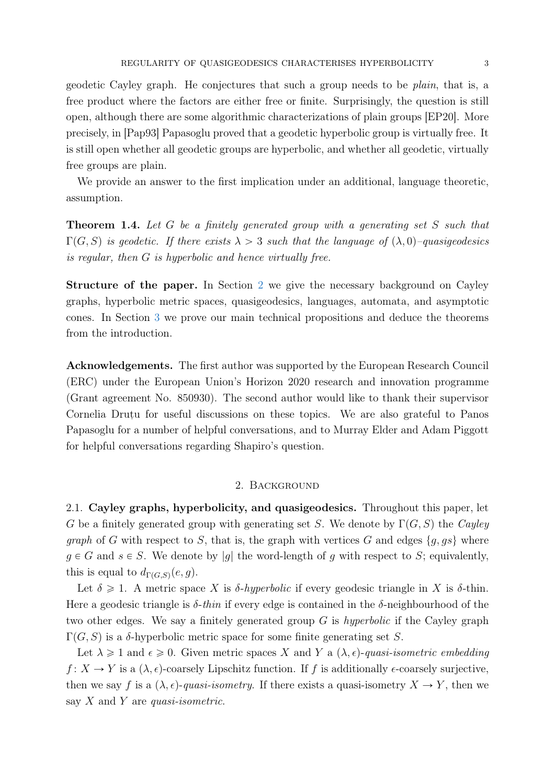geodetic Cayley graph. He conjectures that such a group needs to be plain, that is, a free product where the factors are either free or finite. Surprisingly, the question is still open, although there are some algorithmic characterizations of plain groups [\[EP20\]](#page-10-11). More precisely, in [\[Pap93\]](#page-11-11) Papasoglu proved that a geodetic hyperbolic group is virtually free. It is still open whether all geodetic groups are hyperbolic, and whether all geodetic, virtually free groups are plain.

We provide an answer to the first implication under an additional, language theoretic, assumption.

<span id="page-2-1"></span>Theorem 1.4. Let G be a finitely generated group with a generating set S such that  $\Gamma(G, S)$  is geodetic. If there exists  $\lambda > 3$  such that the language of  $(\lambda, 0)$ –quasigeodesics is regular, then G is hyperbolic and hence virtually free.

Structure of the paper. In Section [2](#page-2-0) we give the necessary background on Cayley graphs, hyperbolic metric spaces, quasigeodesics, languages, automata, and asymptotic cones. In Section [3](#page-4-0) we prove our main technical propositions and deduce the theorems from the introduction.

Acknowledgements. The first author was supported by the European Research Council (ERC) under the European Union's Horizon 2020 research and innovation programme (Grant agreement No. 850930). The second author would like to thank their supervisor Cornelia Drutu for useful discussions on these topics. We are also grateful to Panos Papasoglu for a number of helpful conversations, and to Murray Elder and Adam Piggott for helpful conversations regarding Shapiro's question.

### 2. Background

<span id="page-2-0"></span>2.1. Cayley graphs, hyperbolicity, and quasigeodesics. Throughout this paper, let G be a finitely generated group with generating set S. We denote by  $\Gamma(G, S)$  the Cayley graph of G with respect to S, that is, the graph with vertices G and edges  $\{g, gs\}$  where  $q \in G$  and  $s \in S$ . We denote by |q| the word-length of q with respect to S; equivalently, this is equal to  $d_{\Gamma(G,S)}(e, g)$ .

Let  $\delta \geq 1$ . A metric space X is  $\delta$ -hyperbolic if every geodesic triangle in X is  $\delta$ -thin. Here a geodesic triangle is  $\delta$ -thin if every edge is contained in the  $\delta$ -neighbourhood of the two other edges. We say a finitely generated group  $G$  is *hyperbolic* if the Cayley graph  $\Gamma(G, S)$  is a δ-hyperbolic metric space for some finite generating set S.

Let  $\lambda \geq 1$  and  $\epsilon \geq 0$ . Given metric spaces X and Y a  $(\lambda, \epsilon)$ -quasi-isometric embedding  $f: X \to Y$  is a  $(\lambda, \epsilon)$ -coarsely Lipschitz function. If f is additionally  $\epsilon$ -coarsely surjective, then we say f is a  $(\lambda, \epsilon)$ -quasi-isometry. If there exists a quasi-isometry  $X \to Y$ , then we say  $X$  and  $Y$  are quasi-isometric.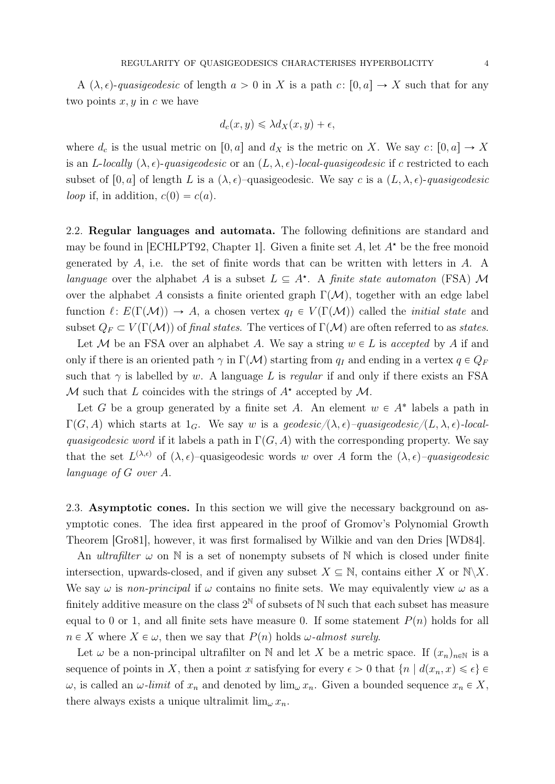A  $(\lambda, \epsilon)$ -quasigeodesic of length  $a > 0$  in X is a path  $c : [0, a] \rightarrow X$  such that for any two points  $x, y$  in c we have

$$
d_c(x, y) \leq \lambda d_X(x, y) + \epsilon,
$$

where  $d_c$  is the usual metric on  $[0, a]$  and  $d_X$  is the metric on X. We say  $c: [0, a] \to X$ is an L-locally  $(\lambda, \epsilon)$ -quasigeodesic or an  $(L, \lambda, \epsilon)$ -local-quasigeodesic if c restricted to each subset of [0, a] of length L is a  $(\lambda, \epsilon)$ –quasigeodesic. We say c is a  $(L, \lambda, \epsilon)$ -quasigeodesic loop if, in addition,  $c(0) = c(a)$ .

2.2. Regular languages and automata. The following definitions are standard and may be found in [\[ECHLPT92,](#page-10-8) Chapter 1]. Given a finite set A, let  $A^*$  be the free monoid generated by  $A$ , i.e. the set of finite words that can be written with letters in  $A$ . A language over the alphabet A is a subset  $L \subseteq A^*$ . A finite state automaton (FSA) M over the alphabet A consists a finite oriented graph  $\Gamma(\mathcal{M})$ , together with an edge label function  $\ell : E(\Gamma(\mathcal{M})) \to A$ , a chosen vertex  $q_I \in V(\Gamma(\mathcal{M}))$  called the *initial state* and subset  $Q_F \subset V(\Gamma(\mathcal{M}))$  of final states. The vertices of  $\Gamma(\mathcal{M})$  are often referred to as states.

Let M be an FSA over an alphabet A. We say a string  $w \in L$  is accepted by A if and only if there is an oriented path  $\gamma$  in  $\Gamma(\mathcal{M})$  starting from  $q_I$  and ending in a vertex  $q \in Q_F$ such that  $\gamma$  is labelled by w. A language L is regular if and only if there exists an FSA M such that L coincides with the strings of  $A^*$  accepted by M.

Let G be a group generated by a finite set A. An element  $w \in A^*$  labels a path in  $\Gamma(G, A)$  which starts at  $1_G$ . We say w is a geodesic/ $(\lambda, \epsilon)$ –quasigeodesic/ $(L, \lambda, \epsilon)$ -localquasigeodesic word if it labels a path in  $\Gamma(G, A)$  with the corresponding property. We say that the set  $L^{(\lambda,\epsilon)}$  of  $(\lambda,\epsilon)$ –quasigeodesic words w over A form the  $(\lambda,\epsilon)$ –quasigeodesic language of G over A.

2.3. Asymptotic cones. In this section we will give the necessary background on asymptotic cones. The idea first appeared in the proof of Gromov's Polynomial Growth Theorem [\[Gro81\]](#page-10-12), however, it was first formalised by Wilkie and van den Dries [\[WD84\]](#page-11-12).

An *ultrafilter*  $\omega$  on N is a set of nonempty subsets of N which is closed under finite intersection, upwards-closed, and if given any subset  $X \subseteq \mathbb{N}$ , contains either X or  $\mathbb{N}\backslash X$ . We say  $\omega$  is non-principal if  $\omega$  contains no finite sets. We may equivalently view  $\omega$  as a finitely additive measure on the class  $2^{\mathbb{N}}$  of subsets of  $\mathbb N$  such that each subset has measure equal to 0 or 1, and all finite sets have measure 0. If some statement  $P(n)$  holds for all  $n \in X$  where  $X \in \omega$ , then we say that  $P(n)$  holds  $\omega$ -almost surely.

Let  $\omega$  be a non-principal ultrafilter on N and let X be a metric space. If  $(x_n)_{n\in\mathbb{N}}$  is a sequence of points in X, then a point x satisfying for every  $\epsilon > 0$  that  $\{n \mid d(x_n, x) \leq \epsilon\}$  $\omega$ , is called an  $\omega$ -limit of  $x_n$  and denoted by  $\lim_{\omega} x_n$ . Given a bounded sequence  $x_n \in X$ , there always exists a unique ultralimit  $\lim_{\omega} x_n$ .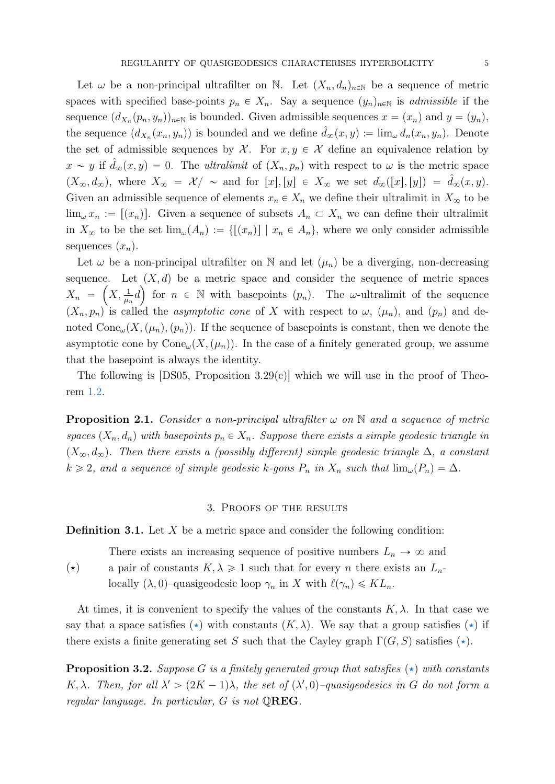Let  $\omega$  be a non-principal ultrafilter on N. Let  $(X_n, d_n)_{n\in\mathbb{N}}$  be a sequence of metric spaces with specified base-points  $p_n \in X_n$ . Say a sequence  $(y_n)_{n\in\mathbb{N}}$  is admissible if the sequence  $(d_{X_n}(p_n, y_n))_{n \in \mathbb{N}}$  is bounded. Given admissible sequences  $x = (x_n)$  and  $y = (y_n)$ , the sequence  $(d_{X_n}(x_n, y_n))$  is bounded and we define  $\hat{d}_{\infty}(x, y) := \lim_{\omega} d_n(x_n, y_n)$ . Denote the set of admissible sequences by  $\mathcal{X}$ . For  $x, y \in \mathcal{X}$  define an equivalence relation by  $x \sim y$  if  $d_{\infty}(x, y) = 0$ . The *ultralimit* of  $(X_n, p_n)$  with respect to  $\omega$  is the metric space  $(X_{\infty}, d_{\infty}),$  where  $X_{\infty} = \mathcal{X}/\sim$  and for  $[x], [y] \in X_{\infty}$  we set  $d_{\infty}([x], [y]) = \hat{d}_{\infty}(x, y)$ . Given an admissible sequence of elements  $x_n \in X_n$  we define their ultralimit in  $X_\infty$  to be  $\lim_{\omega} x_n := [(x_n)]$ . Given a sequence of subsets  $A_n \subset X_n$  we can define their ultralimit in  $X_{\infty}$  to be the set  $\lim_{\omega}(A_n) := \{ [(x_n)] \mid x_n \in A_n \}$ , where we only consider admissible sequences  $(x_n)$ .

Let  $\omega$  be a non-principal ultrafilter on N and let  $(\mu_n)$  be a diverging, non-decreasing sequence. Let  $(X, d)$  be a metric space and consider the sequence of metric spaces  $X_n = \left(X, \frac{1}{\mu_n}d\right)$  for  $n \in \mathbb{N}$  with basepoints  $(p_n)$ . The  $\omega$ -ultralimit of the sequence  $(X_n, p_n)$  is called the *asymptotic cone* of X with respect to  $\omega$ ,  $(\mu_n)$ , and  $(p_n)$  and denoted  $Cone_{\omega}(X,(\mu_n),(p_n))$ . If the sequence of basepoints is constant, then we denote the asymptotic cone by  $\text{Cone}_{\omega}(X,(\mu_n))$ . In the case of a finitely generated group, we assume that the basepoint is always the identity.

The following is  $[DS05, Proposition 3.29(c)]$  $[DS05, Proposition 3.29(c)]$  which we will use in the proof of Theorem [1.2.](#page-1-0)

<span id="page-4-3"></span>**Proposition 2.1.** Consider a non-principal ultrafilter  $\omega$  on N and a sequence of metric spaces  $(X_n, d_n)$  with basepoints  $p_n \in X_n$ . Suppose there exists a simple geodesic triangle in  $(X_{\infty}, d_{\infty})$ . Then there exists a (possibly different) simple geodesic triangle  $\Delta$ , a constant  $k \geq 2$ , and a sequence of simple geodesic k-gons  $P_n$  in  $X_n$  such that  $\lim_{\omega}(P_n) = \Delta$ .

## 3. Proofs of the results

<span id="page-4-0"></span>**Definition 3.1.** Let  $X$  be a metric space and consider the following condition:

<span id="page-4-2"></span>There exists an increasing sequence of positive numbers  $L_n \to \infty$  and

<span id="page-4-1"></span> $(\star)$ a pair of constants  $K, \lambda \geq 1$  such that for every n there exists an  $L_n$ locally  $(\lambda, 0)$ –quasigeodesic loop  $\gamma_n$  in X with  $\ell(\gamma_n) \leqslant KL_n$ .

At times, it is convenient to specify the values of the constants  $K, \lambda$ . In that case we say that a space satisfies ( $\star$ ) with constants  $(K, \lambda)$ . We say that a group satisfies ( $\star$ ) if there exists a finite generating set S such that the Cayley graph  $\Gamma(G, S)$  satisfies (\*).

<span id="page-4-4"></span>**Proposition 3.2.** Suppose G is a finitely generated group that satisfies  $(\star)$  with constants K,  $\lambda$ . Then, for all  $\lambda' > (2K - 1)\lambda$ , the set of  $(\lambda', 0)$ -quasigeodesics in G do not form a regular language. In particular,  $G$  is not  $\mathbb{Q} \mathbf{REG}$ .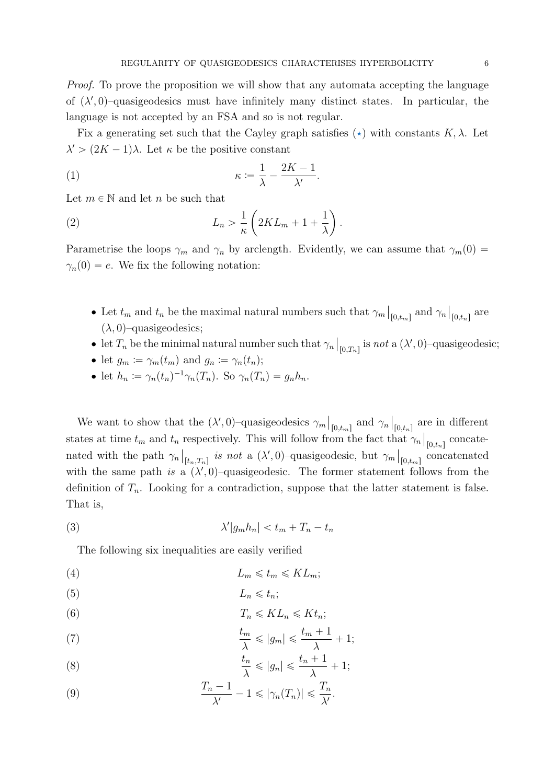Proof. To prove the proposition we will show that any automata accepting the language of  $(\lambda', 0)$ -quasigeodesics must have infinitely many distinct states. In particular, the language is not accepted by an FSA and so is not regular.

Fix a generating set such that the Cayley graph satisfies ( $\star$ ) with constants  $K, \lambda$ . Let  $\lambda' > (2K - 1)\lambda$ . Let  $\kappa$  be the positive constant

(1) 
$$
\kappa := \frac{1}{\lambda} - \frac{2K - 1}{\lambda'}.
$$

Let  $m \in \mathbb{N}$  and let n be such that

<span id="page-5-7"></span>(2) Let 
$$
m \in \mathbb{N}
$$
 and let *n* be such that  

$$
L_n > \frac{1}{\kappa} \left( 2KL_m + 1 + \frac{1}{\lambda} \right).
$$

Parametrise the loops  $\gamma_m$  and  $\gamma_n$  by arclength. Evidently, we can assume that  $\gamma_m(0)$  =  $\gamma_n(0) = e$ . We fix the following notation:

- Let  $t_m$  and  $t_n$  be the maximal natural numbers such that  $\gamma_m|_{[0,t_m]}$  and  $\gamma_n|_{[0,t_n]}$  are  $(\lambda, 0)$ –quasigeodesics;
- let  $T_n$  be the minimal natural number such that  $\gamma_n|_{[0,T_n]}$  is not a  $(\lambda',0)$ -quasigeodesic;
- let  $g_m := \gamma_m(t_m)$  and  $g_n := \gamma_n(t_n);$
- let  $h_n := \gamma_n(t_n)^{-1} \gamma_n(T_n)$ . So  $\gamma_n(T_n) = g_n h_n$ .

We want to show that the  $(\lambda', 0)$ -quasigeodesics  $\gamma_m|_{[0,t_m]}$  and  $\gamma_n|_{[0,t_n]}$  are in different states at time  $t_m$  and  $t_n$  respectively. This will follow from the fact that  $\gamma_n|_{[0,t_n]}$  concatenated with the path  $\gamma_n|_{[t_n,T_n]}$  is not a  $(\lambda',0)$ -quasigeodesic, but  $\gamma_m|_{[0,t_m]}$  concatenated with the same path is a  $(\lambda', 0)$ -quasigeodesic. The former statement follows from the definition of  $T_n$ . Looking for a contradiction, suppose that the latter statement is false. That is,

$$
\lambda'|g_m h_n| < t_m + T_n - t_n
$$

<span id="page-5-4"></span>The following six inequalities are easily verified

- <span id="page-5-6"></span><span id="page-5-5"></span>(4)  $L_m \leq t_m \leq KL_m;$
- <span id="page-5-2"></span>(5)  $L_n \leq t_n;$
- (6)  $T_n \leqslant KL_n \leqslant Kt_n;$

<span id="page-5-3"></span>(7) 
$$
\frac{t_m}{\lambda} \leqslant |g_m| \leqslant \frac{t_m+1}{\lambda} + 1;
$$

<span id="page-5-0"></span>(8) 
$$
\frac{t_n}{\lambda} \leq |g_n| \leq \frac{t_n + 1}{\lambda} + 1;
$$

<span id="page-5-1"></span>(9) 
$$
\frac{T_n-1}{\lambda'}-1 \leq |\gamma_n(T_n)| \leq \frac{T_n}{\lambda'}.
$$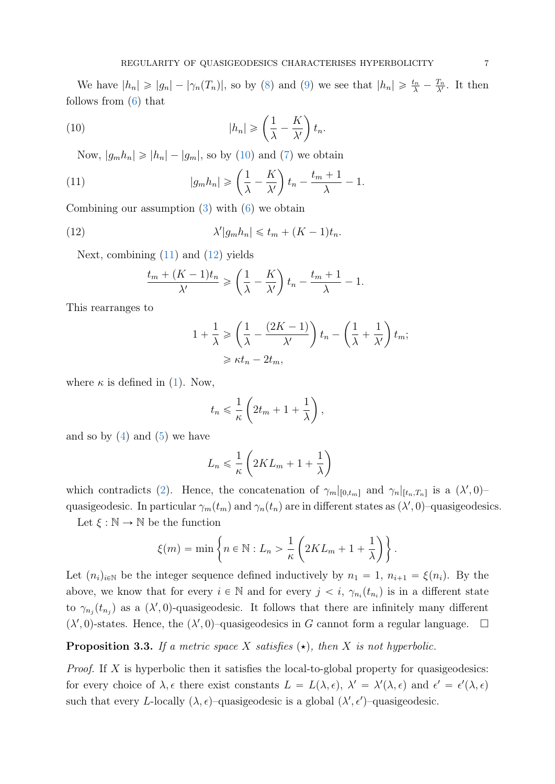We have  $|h_n| \geqslant |g_n| - |\gamma_n(T_n)|$ , so by [\(8\)](#page-5-0) and [\(9\)](#page-5-1) we see that  $|h_n| \geqslant \frac{t_n}{\lambda} - \frac{T_n}{\lambda'}$  $\frac{T_n}{\lambda'}$ . It then follows from [\(6\)](#page-5-2) that ˆ ˙

(10) 
$$
|h_n| \geqslant \left(\frac{1}{\lambda} - \frac{K}{\lambda'}\right) t_n.
$$

<span id="page-6-0"></span>Now,  $|g_m h_n| \geq |h_n| - |g_m|$ , so by [\(10\)](#page-6-0) and [\(7\)](#page-5-3) we obtain  $\left( -\frac{1}{2} \right)$  and  $\left( \frac{1}{2} \right)$ 

(11) 
$$
|g_m h_n| \geq \left(\frac{1}{\lambda} - \frac{K}{\lambda'}\right) t_n - \frac{t_m + 1}{\lambda} - 1.
$$

Combining our assumption  $(3)$  with  $(6)$  we obtain

(12) 
$$
\lambda' |g_m h_n| \leq t_m + (K-1)t_n.
$$

Next, combining [\(11\)](#page-6-1) and [\(12\)](#page-6-2) yields ˆ

<span id="page-6-2"></span><span id="page-6-1"></span>
$$
\frac{t_m + (K-1)t_n}{\lambda'} \ge \left(\frac{1}{\lambda} - \frac{K}{\lambda'}\right)t_n - \frac{t_m + 1}{\lambda} - 1.
$$

This rearranges to

$$
1 + \frac{1}{\lambda} \ge \left(\frac{1}{\lambda} - \frac{(2K - 1)}{\lambda'}\right) t_n - \left(\frac{1}{\lambda} + \frac{1}{\lambda'}\right) t_m;
$$
  

$$
\ge \kappa t_n - 2t_m,
$$

where  $\kappa$  is defined in [\(1\)](#page-4-2). Now,

$$
t_n \leqslant \frac{1}{\kappa} \left( 2t_m + 1 + \frac{1}{\lambda} \right),
$$

and so by  $(4)$  and  $(5)$  we have

$$
L_n \leq \frac{1}{\kappa} \left( 2KL_m + 1 + \frac{1}{\lambda} \right)
$$

which contradicts [\(2\)](#page-5-7). Hence, the concatenation of  $\gamma_m|_{[0,t_m]}$  and  $\gamma_n|_{[t_n,T_n]}$  is a  $(\lambda',0)$ 

quasigeodesic. In particular  $\gamma_m(t_m)$  and  $\gamma_n(t_n)$  are in different states as  $(\lambda', 0)$ -quasigeodesics. Let  $\xi : \mathbb{N} \to \mathbb{N}$  be the function ˆ ˙\*

$$
\xi(m) = \min \left\{ n \in \mathbb{N} : L_n > \frac{1}{\kappa} \left( 2KL_m + 1 + \frac{1}{\lambda} \right) \right\}.
$$

Let  $(n_i)_{i\in\mathbb{N}}$  be the integer sequence defined inductively by  $n_1 = 1, n_{i+1} = \xi(n_i)$ . By the above, we know that for every  $i \in \mathbb{N}$  and for every  $j \leq i$ ,  $\gamma_{n_i}(t_{n_i})$  is in a different state to  $\gamma_{n_j}(t_{n_j})$  as a  $(\lambda', 0)$ -quasigeodesic. It follows that there are infinitely many different  $(\lambda', 0)$ -states. Hence, the  $(\lambda', 0)$ -quasigeodesics in G cannot form a regular language.  $\square$ 

# <span id="page-6-3"></span>**Proposition 3.3.** If a metric space X satisfies  $(\star)$ , then X is not hyperbolic.

*Proof.* If X is hyperbolic then it satisfies the local-to-global property for quasigeodesics: for every choice of  $\lambda, \epsilon$  there exist constants  $L = L(\lambda, \epsilon), \lambda' = \lambda'(\lambda, \epsilon)$  and  $\epsilon' = \epsilon'(\lambda, \epsilon)$ such that every L-locally  $(\lambda, \epsilon)$ –quasigeodesic is a global  $(\lambda', \epsilon')$ –quasigeodesic.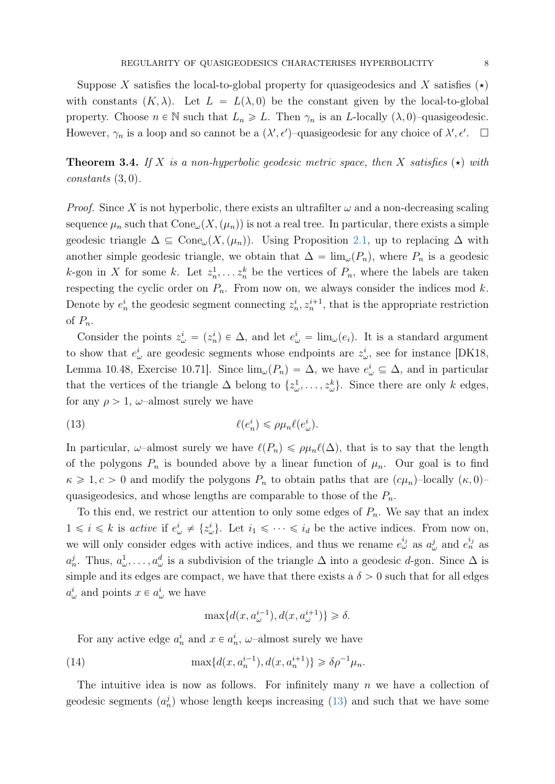Suppose X satisfies the local-to-global property for quasigeodesics and X satisfies  $(\star)$ with constants  $(K, \lambda)$ . Let  $L = L(\lambda, 0)$  be the constant given by the local-to-global property. Choose  $n \in \mathbb{N}$  such that  $L_n \geq L$ . Then  $\gamma_n$  is an *L*-locally  $(\lambda, 0)$ –quasigeodesic. However,  $\gamma_n$  is a loop and so cannot be a  $(\lambda', \epsilon')$ -quasigeodesic for any choice of  $\lambda', \epsilon'$ .  $\Box$ 

<span id="page-7-2"></span>**Theorem 3.4.** If X is a non-hyperbolic geodesic metric space, then X satisfies  $(\star)$  with  $constants (3, 0).$ 

*Proof.* Since X is not hyperbolic, there exists an ultrafilter  $\omega$  and a non-decreasing scaling sequence  $\mu_n$  such that  $Cone_{\omega}(X,(\mu_n))$  is not a real tree. In particular, there exists a simple geodesic triangle  $\Delta \subseteq \text{Cone}_{\omega}(X,(\mu_n))$ . Using Proposition [2.1,](#page-4-3) up to replacing  $\Delta$  with another simple geodesic triangle, we obtain that  $\Delta = \lim_{\omega}(P_n)$ , where  $P_n$  is a geodesic k-gon in X for some k. Let  $z_n^1, \ldots z_n^k$  be the vertices of  $P_n$ , where the labels are taken respecting the cyclic order on  $P_n$ . From now on, we always consider the indices mod k. Denote by  $e_n^i$  the geodesic segment connecting  $z_n^i, z_n^{i+1}$ , that is the appropriate restriction of  $P_n$ .

Consider the points  $z_{\omega}^i = (z_n^i) \in \Delta$ , and let  $e_{\omega}^i = \lim_{\omega} (e_i)$ . It is a standard argument to show that  $e^i_\omega$  are geodesic segments whose endpoints are  $z^i_\omega$ , see for instance [\[DK18,](#page-10-14) Lemma 10.48, Exercise 10.71]. Since  $\lim_{\omega}(P_n) = \Delta$ , we have  $e_{\omega}^i \subseteq \Delta$ , and in particular that the vertices of the triangle  $\Delta$  belong to  $\{z_{\omega}^1, \ldots, z_{\omega}^k\}$ . Since there are only k edges, for any  $\rho > 1$ ,  $\omega$ -almost surely we have

<span id="page-7-0"></span>(13) 
$$
\ell(e_n^i) \leq \rho \mu_n \ell(e_\omega^i).
$$

In particular,  $\omega$ –almost surely we have  $\ell(P_n) \leq \rho\mu_n\ell(\Delta)$ , that is to say that the length of the polygons  $P_n$  is bounded above by a linear function of  $\mu_n$ . Our goal is to find  $\kappa \geq 1, c > 0$  and modify the polygons  $P_n$  to obtain paths that are  $(c\mu_n)$ –locally  $(\kappa, 0)$ – quasigeodesics, and whose lengths are comparable to those of the  $P_n$ .

To this end, we restrict our attention to only some edges of  $P_n$ . We say that an index  $1 \leq i \leq k$  is active if  $e^i_\omega \neq \{z^i_\omega\}$ . Let  $i_1 \leq \cdots \leq i_d$  be the active indices. From now on, we will only consider edges with active indices, and thus we rename  $e_{\omega}^{i_j}$  as  $a_{\omega}^{j}$  and  $e_{n}^{i_j}$  as  $a_n^j$ . Thus,  $a_\omega^1, \ldots, a_\omega^d$  is a subdivision of the triangle  $\Delta$  into a geodesic d-gon. Since  $\Delta$  is simple and its edges are compact, we have that there exists a  $\delta > 0$  such that for all edges  $a_{\omega}^{i}$  and points  $x \in a_{\omega}^{i}$  we have

<span id="page-7-1"></span>
$$
\max\{d(x, a_{\omega}^{i-1}), d(x, a_{\omega}^{i+1})\} \ge \delta.
$$

For any active edge  $a_n^i$  and  $x \in a_n^i$ ,  $\omega$ -almost surely we have

(14) 
$$
\max\{d(x, a_n^{i-1}), d(x, a_n^{i+1})\} \ge \delta \rho^{-1} \mu_n.
$$

The intuitive idea is now as follows. For infinitely many  $n$  we have a collection of geodesic segments  $(a_n)$  whose length keeps increasing [\(13\)](#page-7-0) and such that we have some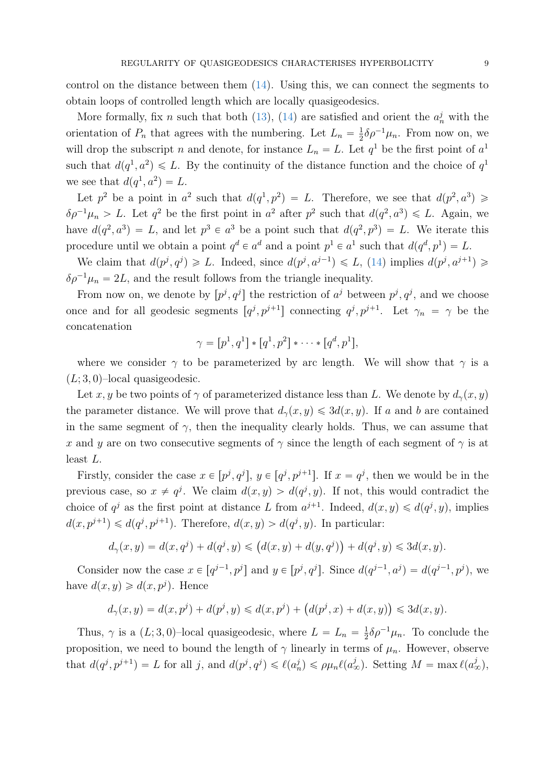control on the distance between them  $(14)$ . Using this, we can connect the segments to obtain loops of controlled length which are locally quasigeodesics.

More formally, fix n such that both  $(13)$ ,  $(14)$  are satisfied and orient the  $a_n^j$  with the orientation of  $P_n$  that agrees with the numbering. Let  $L_n = \frac{1}{2}$  $\frac{1}{2}\delta\rho^{-1}\mu_n$ . From now on, we will drop the subscript n and denote, for instance  $L_n = L$ . Let  $q^1$  be the first point of  $a^1$ such that  $d(q^1, a^2) \leq L$ . By the continuity of the distance function and the choice of  $q^1$ we see that  $d(q^1, a^2) = L$ .

Let  $p^2$  be a point in  $a^2$  such that  $d(q^1, p^2) = L$ . Therefore, we see that  $d(p^2, a^3) \geq$  $\delta \rho^{-1} \mu_n > L$ . Let  $q^2$  be the first point in  $a^2$  after  $p^2$  such that  $d(q^2, a^3) \leq L$ . Again, we have  $d(q^2, a^3) = L$ , and let  $p^3 \in a^3$  be a point such that  $d(q^2, p^3) = L$ . We iterate this procedure until we obtain a point  $q^d \in a^d$  and a point  $p^1 \in a^1$  such that  $d(q^d, p^1) = L$ .

We claim that  $d(p^j, q^j) \geq L$ . Indeed, since  $d(p^j, a^{j-1}) \leq L$ , [\(14\)](#page-7-1) implies  $d(p^j, a^{j+1}) \geq$  $\delta \rho^{-1} \mu_n = 2L$ , and the result follows from the triangle inequality.

From now on, we denote by  $[p^j, q^j]$  the restriction of  $a^j$  between  $p^j, q^j$ , and we choose once and for all geodesic segments  $[q^j, p^{j+1}]$  connecting  $q^j, p^{j+1}$ . Let  $\gamma_n = \gamma$  be the concatenation

$$
\gamma = [p^1, q^1] * [q^1, p^2] * \cdots * [q^d, p^1],
$$

where we consider  $\gamma$  to be parameterized by arc length. We will show that  $\gamma$  is a  $(L; 3, 0)$ -local quasigeodesic.

Let x, y be two points of  $\gamma$  of parameterized distance less than L. We denote by  $d_{\gamma}(x, y)$ the parameter distance. We will prove that  $d_{\gamma}(x, y) \leq 3d(x, y)$ . If a and b are contained in the same segment of  $\gamma$ , then the inequality clearly holds. Thus, we can assume that x and y are on two consecutive segments of  $\gamma$  since the length of each segment of  $\gamma$  is at least L.

Firstly, consider the case  $x \in [p^j, q^j]$ ,  $y \in [q^j, p^{j+1}]$ . If  $x = q^j$ , then we would be in the previous case, so  $x \neq q^j$ . We claim  $d(x, y) > d(q^j, y)$ . If not, this would contradict the choice of  $q^j$  as the first point at distance L from  $a^{j+1}$ . Indeed,  $d(x, y) \leq d(q^j, y)$ , implies  $d(x, p^{j+1}) \leq d(q^j, p^{j+1})$ . Therefore,  $d(x, y) > d(q^j, y)$ . In particular:

$$
d_{\gamma}(x, y) = d(x, q^{j}) + d(q^{j}, y) \leq (d(x, y) + d(y, q^{j})) + d(q^{j}, y) \leq 3d(x, y).
$$

Consider now the case  $x \in [q^{j-1}, p^j]$  and  $y \in [p^j, q^j]$ . Since  $d(q^{j-1}, a^j) = d(q^{j-1}, p^j)$ , we have  $d(x, y) \geq d(x, p^j)$ . Hence

$$
d_{\gamma}(x, y) = d(x, p^{j}) + d(p^{j}, y) \le d(x, p^{j}) + (d(p^{j}, x) + d(x, y)) \le 3d(x, y).
$$

Thus,  $\gamma$  is a  $(L; 3, 0)$ -local quasigeodesic, where  $L = L_n = \frac{1}{2}$  $\frac{1}{2}\delta\rho^{-1}\mu_n$ . To conclude the proposition, we need to bound the length of  $\gamma$  linearly in terms of  $\mu_n$ . However, observe that  $d(q^j, p^{j+1}) = L$  for all j, and  $d(p^j, q^j) \leq \ell(a_n^j) \leq \rho \mu_n \ell(a_\infty^j)$ . Setting  $M = \max \ell(a_\infty^j)$ ,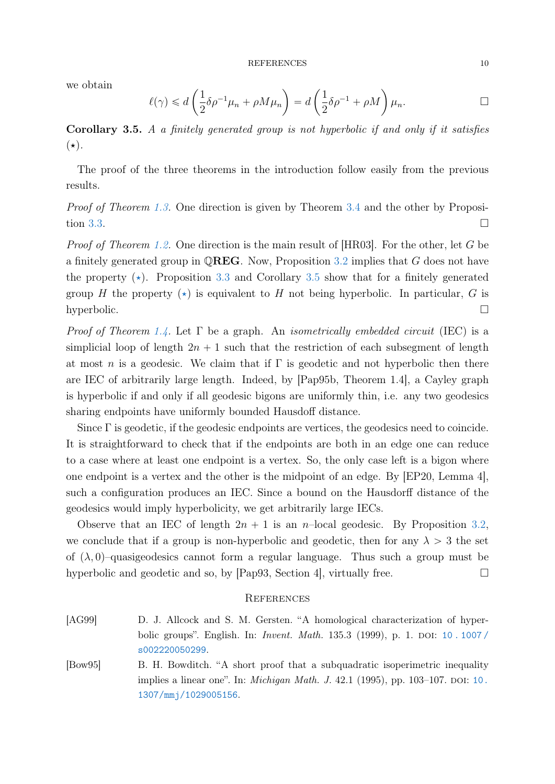we obtain

$$
\ell(\gamma) \leq d\left(\frac{1}{2}\delta\rho^{-1}\mu_n + \rho M\mu_n\right) = d\left(\frac{1}{2}\delta\rho^{-1} + \rho M\right)\mu_n.
$$

<span id="page-9-2"></span>Corollary 3.5. A a finitely generated group is not hyperbolic if and only if it satisfies  $(\star).$ 

The proof of the three theorems in the introduction follow easily from the previous results.

Proof of Theorem [1.3.](#page-1-1) One direction is given by Theorem [3.4](#page-7-2) and the other by Proposi-tion [3.3.](#page-6-3)

*Proof of Theorem [1.2.](#page-1-0)* One direction is the main result of  $[HR03]$ . For the other, let G be a finitely generated group in  $\mathbb{QREG}$ . Now, Proposition [3.2](#page-4-4) implies that G does not have the property  $(\star)$ . Proposition [3.3](#page-6-3) and Corollary [3.5](#page-9-2) show that for a finitely generated group H the property ( $\star$ ) is equivalent to H not being hyperbolic. In particular, G is hyperbolic.

*Proof of Theorem [1.4.](#page-2-1)* Let  $\Gamma$  be a graph. An *isometrically embedded circuit* (IEC) is a simplicial loop of length  $2n + 1$  such that the restriction of each subsegment of length at most n is a geodesic. We claim that if  $\Gamma$  is geodetic and not hyperbolic then there are IEC of arbitrarily large length. Indeed, by [\[Pap95b,](#page-11-2) Theorem 1.4], a Cayley graph is hyperbolic if and only if all geodesic bigons are uniformly thin, i.e. any two geodesics sharing endpoints have uniformly bounded Hausdoff distance.

Since Γ is geodetic, if the geodesic endpoints are vertices, the geodesics need to coincide. It is straightforward to check that if the endpoints are both in an edge one can reduce to a case where at least one endpoint is a vertex. So, the only case left is a bigon where one endpoint is a vertex and the other is the midpoint of an edge. By [\[EP20,](#page-10-11) Lemma 4], such a configuration produces an IEC. Since a bound on the Hausdorff distance of the geodesics would imply hyperbolicity, we get arbitrarily large IECs.

Observe that an IEC of length  $2n + 1$  is an n–local geodesic. By Proposition [3.2,](#page-4-4) we conclude that if a group is non-hyperbolic and geodetic, then for any  $\lambda > 3$  the set of  $(\lambda, 0)$ –quasigeodesics cannot form a regular language. Thus such a group must be hyperbolic and geodetic and so, by [\[Pap93,](#page-11-11) Section 4], virtually free.  $\Box$ 

#### **REFERENCES**

<span id="page-9-0"></span>[AG99] D. J. Allcock and S. M. Gersten. "A homological characterization of hyperbolic groups". English. In: *Invent. Math.* 135.3 (1999), p. 1. DOI: 10. 1007/ [s002220050299](https://doi.org/10.1007/s002220050299).

<span id="page-9-1"></span>[Bow95] B. H. Bowditch. "A short proof that a subquadratic isoperimetric inequality implies a linear one". In: *Michigan Math. J.* 42.1 (1995), pp. 103–107. DOI: [10.](https://doi.org/10.1307/mmj/1029005156) [1307/mmj/1029005156](https://doi.org/10.1307/mmj/1029005156).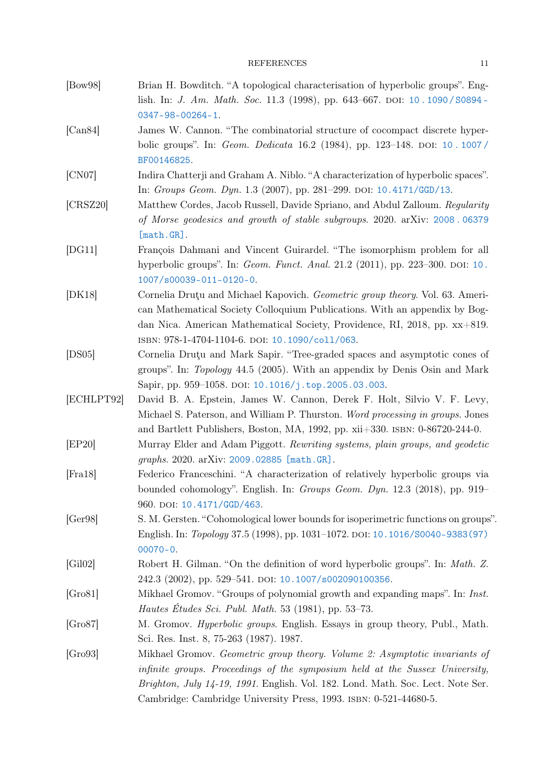<span id="page-10-14"></span><span id="page-10-13"></span><span id="page-10-12"></span><span id="page-10-11"></span><span id="page-10-10"></span><span id="page-10-9"></span><span id="page-10-8"></span><span id="page-10-7"></span><span id="page-10-6"></span><span id="page-10-5"></span><span id="page-10-4"></span><span id="page-10-3"></span><span id="page-10-2"></span><span id="page-10-1"></span><span id="page-10-0"></span>

| [bow98]    | Brian H. Bowditch. "A topological characterisation of hyperbolic groups". Eng-<br>lish. In: <i>J. Am. Math. Soc.</i> 11.3 (1998), pp. 643–667. DOI: 10.1090/S0894–                                                                                                                                                        |
|------------|---------------------------------------------------------------------------------------------------------------------------------------------------------------------------------------------------------------------------------------------------------------------------------------------------------------------------|
|            | $0347 - 98 - 00264 - 1.$                                                                                                                                                                                                                                                                                                  |
| [Can84]    | James W. Cannon. "The combinatorial structure of cocompact discrete hyper-<br>bolic groups". In: <i>Geom. Dedicata</i> 16.2 (1984), pp. 123–148. DOI: 10.1007/<br>BF00146825.                                                                                                                                             |
| [CN07]     | Indira Chatterji and Graham A. Niblo. "A characterization of hyperbolic spaces".<br>In: Groups Geom. Dyn. 1.3 (2007), pp. 281-299. DOI: 10.4171/GGD/13.                                                                                                                                                                   |
| [CRSZ20]   | Matthew Cordes, Jacob Russell, Davide Spriano, and Abdul Zalloum. Regularity<br>of Morse geodesics and growth of stable subgroups. 2020. arXiv: 2008.06379<br>$[math.GR]$ .                                                                                                                                               |
| [DG11]     | François Dahmani and Vincent Guirardel. "The isomorphism problem for all<br>hyperbolic groups". In: <i>Geom. Funct. Anal.</i> 21.2 (2011), pp. 223–300. DOI: 10.<br>1007/s00039-011-0120-0.                                                                                                                               |
| [DK18]     | Cornelia Drutu and Michael Kapovich. <i>Geometric group theory</i> . Vol. 63. Ameri-<br>can Mathematical Society Colloquium Publications. With an appendix by Bog-<br>dan Nica. American Mathematical Society, Providence, RI, 2018, pp. $xx+819$ .                                                                       |
| [DS05]     | ISBN: 978-1-4704-1104-6. DOI: 10.1090/coll/063.<br>Cornelia Drutu and Mark Sapir. "Tree-graded spaces and asymptotic cones of<br>groups". In: <i>Topology</i> 44.5 (2005). With an appendix by Denis Osin and Mark<br>Sapir, pp. 959-1058. DOI: 10.1016/j.top.2005.03.003.                                                |
| [ECHLPT92] | David B. A. Epstein, James W. Cannon, Derek F. Holt, Silvio V. F. Levy,<br>Michael S. Paterson, and William P. Thurston. Word processing in groups. Jones<br>and Bartlett Publishers, Boston, MA, 1992, pp. $xii+330$ . ISBN: $0-86720-244-0$ .                                                                           |
| [EP20]     | Murray Elder and Adam Piggott. Rewriting systems, plain groups, and geodetic<br>graphs. 2020. arXiv: 2009.02885 [math.GR].                                                                                                                                                                                                |
| [Fra18]    | Federico Franceschini. "A characterization of relatively hyperbolic groups via<br>bounded cohomology". English. In: <i>Groups Geom. Dyn.</i> 12.3 (2018), pp. 919–<br>960. DOI: 10.4171/GGD/463.                                                                                                                          |
| [Ger98]    | S. M. Gersten. "Cohomological lower bounds for isoperimetric functions on groups".<br>English. In: Topology 37.5 (1998), pp. 1031-1072. DOI: 10.1016/S0040-9383(97)<br>$00070 - 0.$                                                                                                                                       |
| [Gil02]    | Robert H. Gilman. "On the definition of word hyperbolic groups". In: Math. Z.<br>242.3 (2002), pp. 529–541. DOI: 10.1007/s002090100356.                                                                                                                                                                                   |
| [Gro81]    | Mikhael Gromov. "Groups of polynomial growth and expanding maps". In: Inst.<br><i>Hautes Études Sci. Publ. Math.</i> 53 (1981), pp. 53–73.                                                                                                                                                                                |
| [Gro87]    | M. Gromov. <i>Hyperbolic groups</i> . English. Essays in group theory, Publ., Math.<br>Sci. Res. Inst. 8, 75-263 (1987). 1987.                                                                                                                                                                                            |
| [Gro93]    | Mikhael Gromov. Geometric group theory. Volume 2: Asymptotic invariants of<br>infinite groups. Proceedings of the symposium held at the Sussex University,<br><i>Brighton, July 14-19, 1991.</i> English. Vol. 182. Lond. Math. Soc. Lect. Note Ser.<br>Cambridge: Cambridge University Press, 1993. ISBN: 0-521-44680-5. |